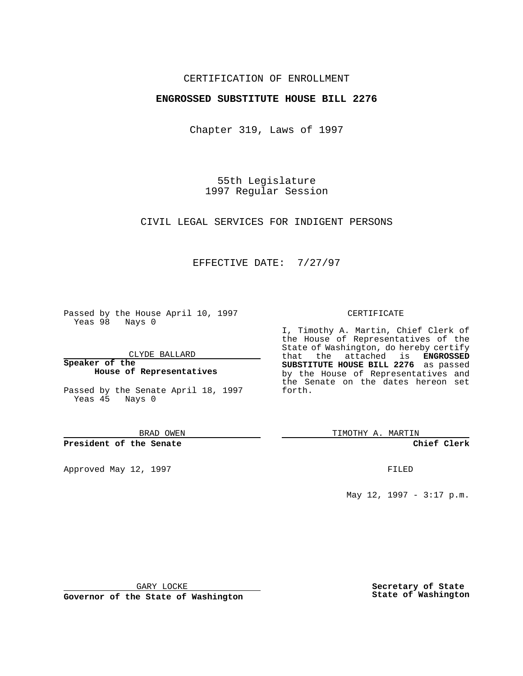## CERTIFICATION OF ENROLLMENT

## **ENGROSSED SUBSTITUTE HOUSE BILL 2276**

Chapter 319, Laws of 1997

55th Legislature 1997 Regular Session

CIVIL LEGAL SERVICES FOR INDIGENT PERSONS

# EFFECTIVE DATE: 7/27/97

Passed by the House April 10, 1997 Yeas 98 Nays 0

CLYDE BALLARD

**Speaker of the House of Representatives**

Passed by the Senate April 18, 1997 Yeas 45 Nays 0

BRAD OWEN

**President of the Senate**

Approved May 12, 1997 **FILED** 

#### CERTIFICATE

I, Timothy A. Martin, Chief Clerk of the House of Representatives of the State of Washington, do hereby certify that the attached is **ENGROSSED SUBSTITUTE HOUSE BILL 2276** as passed by the House of Representatives and the Senate on the dates hereon set forth.

TIMOTHY A. MARTIN

**Chief Clerk**

May 12, 1997 - 3:17 p.m.

GARY LOCKE

**Governor of the State of Washington**

**Secretary of State State of Washington**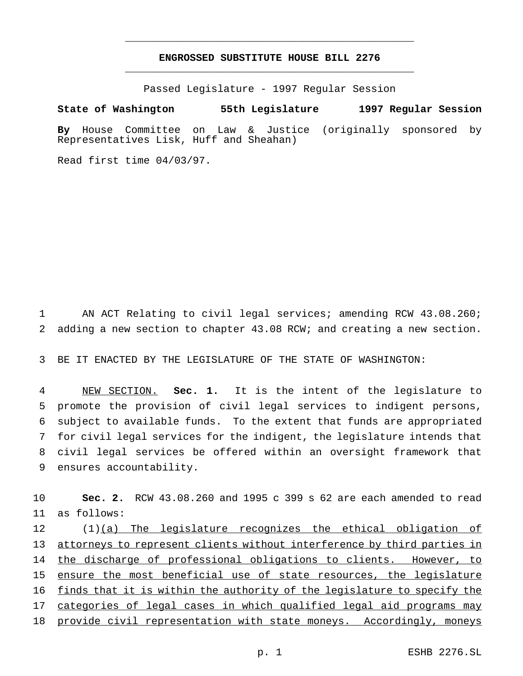# **ENGROSSED SUBSTITUTE HOUSE BILL 2276** \_\_\_\_\_\_\_\_\_\_\_\_\_\_\_\_\_\_\_\_\_\_\_\_\_\_\_\_\_\_\_\_\_\_\_\_\_\_\_\_\_\_\_\_\_\_\_

\_\_\_\_\_\_\_\_\_\_\_\_\_\_\_\_\_\_\_\_\_\_\_\_\_\_\_\_\_\_\_\_\_\_\_\_\_\_\_\_\_\_\_\_\_\_\_

Passed Legislature - 1997 Regular Session

**State of Washington 55th Legislature 1997 Regular Session By** House Committee on Law & Justice (originally sponsored by Representatives Lisk, Huff and Sheahan)

Read first time 04/03/97.

1 AN ACT Relating to civil legal services; amending RCW 43.08.260; 2 adding a new section to chapter 43.08 RCW; and creating a new section.

3 BE IT ENACTED BY THE LEGISLATURE OF THE STATE OF WASHINGTON:

 NEW SECTION. **Sec. 1.** It is the intent of the legislature to promote the provision of civil legal services to indigent persons, subject to available funds. To the extent that funds are appropriated for civil legal services for the indigent, the legislature intends that civil legal services be offered within an oversight framework that ensures accountability.

10 **Sec. 2.** RCW 43.08.260 and 1995 c 399 s 62 are each amended to read 11 as follows:

12 (1)(a) The legislature recognizes the ethical obligation of 13 attorneys to represent clients without interference by third parties in 14 the discharge of professional obligations to clients. However, to 15 ensure the most beneficial use of state resources, the legislature 16 finds that it is within the authority of the legislature to specify the 17 categories of legal cases in which qualified legal aid programs may 18 provide civil representation with state moneys. Accordingly, moneys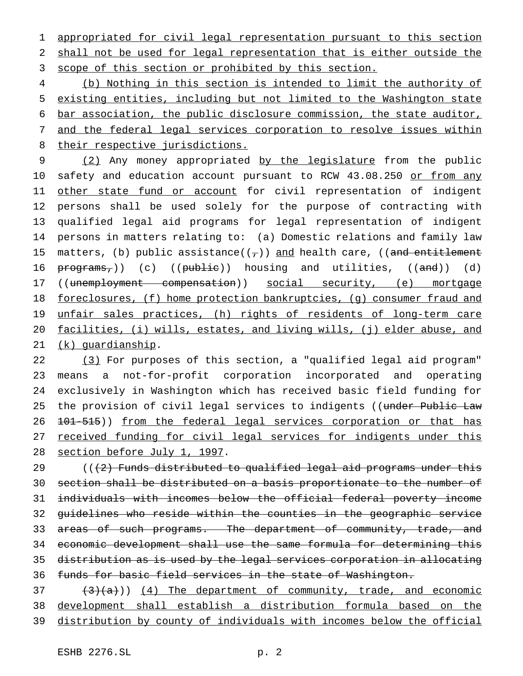appropriated for civil legal representation pursuant to this section shall not be used for legal representation that is either outside the 3 scope of this section or prohibited by this section.

 (b) Nothing in this section is intended to limit the authority of existing entities, including but not limited to the Washington state bar association, the public disclosure commission, the state auditor, and the federal legal services corporation to resolve issues within 8 their respective jurisdictions.

9 (2) Any money appropriated by the legislature from the public 10 safety and education account pursuant to RCW 43.08.250 or from any 11 other state fund or account for civil representation of indigent persons shall be used solely for the purpose of contracting with qualified legal aid programs for legal representation of indigent persons in matters relating to: (a) Domestic relations and family law 15 matters, (b) public assistance( $(\tau)$ ) and health care, ((and entitlement 16 programs,)) (c) ((publie)) housing and utilities, ((and)) (d) 17 ((unemployment compensation)) social security, (e) mortgage 18 foreclosures, (f) home protection bankruptcies, (g) consumer fraud and 19 unfair sales practices, (h) rights of residents of long-term care facilities, (i) wills, estates, and living wills, (j) elder abuse, and (k) guardianship.

 (3) For purposes of this section, a "qualified legal aid program" means a not-for-profit corporation incorporated and operating exclusively in Washington which has received basic field funding for 25 the provision of civil legal services to indigents ((under Public Law 26 101-515)) from the federal legal services corporation or that has 27 received funding for civil legal services for indigents under this section before July 1, 1997.

 $(1, 2)$  Funds distributed to qualified legal aid programs under this section shall be distributed on a basis proportionate to the number of individuals with incomes below the official federal poverty income guidelines who reside within the counties in the geographic service 33 areas of such programs. The department of community, trade, and economic development shall use the same formula for determining this distribution as is used by the legal services corporation in allocating funds for basic field services in the state of Washington.

  $(3)(a)$ ) (4) The department of community, trade, and economic development shall establish a distribution formula based on the distribution by county of individuals with incomes below the official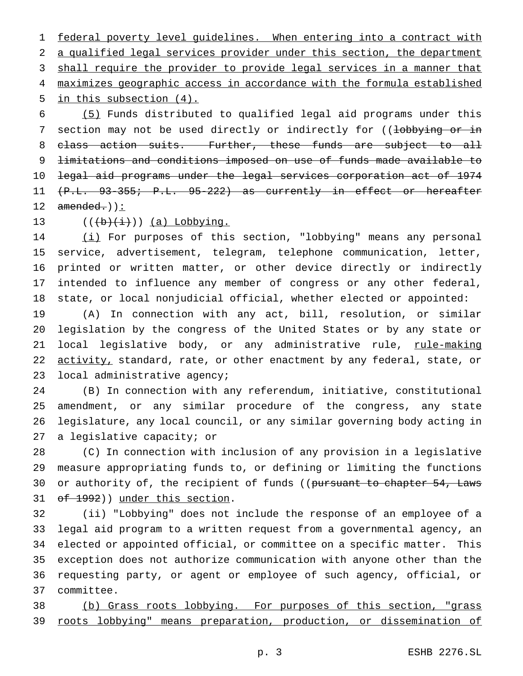federal poverty level guidelines. When entering into a contract with a qualified legal services provider under this section, the department 3 shall require the provider to provide legal services in a manner that maximizes geographic access in accordance with the formula established in this subsection (4).

 (5) Funds distributed to qualified legal aid programs under this 7 section may not be used directly or indirectly for ((lobbying or in 8 class action suits. Further, these funds are subject to all limitations and conditions imposed on use of funds made available to legal aid programs under the legal services corporation act of 1974 (P.L. 93-355; P.L. 95-222) as currently in effect or hereafter  $amended.$ ) :

13  $((\overrightarrow{b} + i))$  (a) Lobbying.

14 (i) For purposes of this section, "lobbying" means any personal service, advertisement, telegram, telephone communication, letter, printed or written matter, or other device directly or indirectly intended to influence any member of congress or any other federal, state, or local nonjudicial official, whether elected or appointed:

 (A) In connection with any act, bill, resolution, or similar legislation by the congress of the United States or by any state or 21 local legislative body, or any administrative rule, rule-making 22 activity, standard, rate, or other enactment by any federal, state, or local administrative agency;

 (B) In connection with any referendum, initiative, constitutional amendment, or any similar procedure of the congress, any state legislature, any local council, or any similar governing body acting in a legislative capacity; or

 (C) In connection with inclusion of any provision in a legislative measure appropriating funds to, or defining or limiting the functions 30 or authority of, the recipient of funds ((pursuant to chapter 54, Laws 31 of 1992)) under this section.

 (ii) "Lobbying" does not include the response of an employee of a legal aid program to a written request from a governmental agency, an elected or appointed official, or committee on a specific matter. This exception does not authorize communication with anyone other than the requesting party, or agent or employee of such agency, official, or committee.

 (b) Grass roots lobbying. For purposes of this section, "grass roots lobbying" means preparation, production, or dissemination of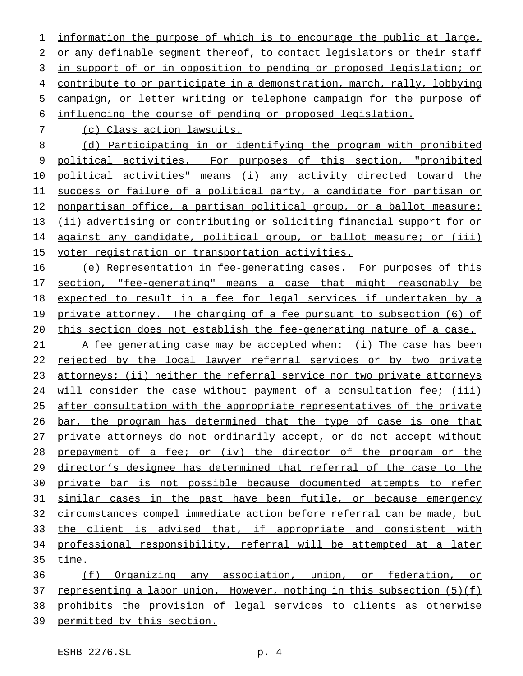information the purpose of which is to encourage the public at large, 2 or any definable segment thereof, to contact legislators or their staff in support of or in opposition to pending or proposed legislation; or contribute to or participate in a demonstration, march, rally, lobbying campaign, or letter writing or telephone campaign for the purpose of influencing the course of pending or proposed legislation.

(c) Class action lawsuits.

 (d) Participating in or identifying the program with prohibited political activities. For purposes of this section, "prohibited political activities" means (i) any activity directed toward the success or failure of a political party, a candidate for partisan or 12 nonpartisan office, a partisan political group, or a ballot measure; (ii) advertising or contributing or soliciting financial support for or against any candidate, political group, or ballot measure; or (iii) voter registration or transportation activities.

16 (e) Representation in fee-generating cases. For purposes of this section, "fee-generating" means a case that might reasonably be expected to result in a fee for legal services if undertaken by a 19 private attorney. The charging of a fee pursuant to subsection (6) of this section does not establish the fee-generating nature of a case.

21 A fee generating case may be accepted when: (i) The case has been 22 rejected by the local lawyer referral services or by two private attorneys; (ii) neither the referral service nor two private attorneys 24 will consider the case without payment of a consultation fee; (iii) after consultation with the appropriate representatives of the private 26 bar, the program has determined that the type of case is one that private attorneys do not ordinarily accept, or do not accept without prepayment of a fee; or (iv) the director of the program or the director's designee has determined that referral of the case to the private bar is not possible because documented attempts to refer similar cases in the past have been futile, or because emergency circumstances compel immediate action before referral can be made, but 33 the client is advised that, if appropriate and consistent with professional responsibility, referral will be attempted at a later time.

 (f) Organizing any association, union, or federation, or 37 representing a labor union. However, nothing in this subsection (5)(f) prohibits the provision of legal services to clients as otherwise 39 permitted by this section.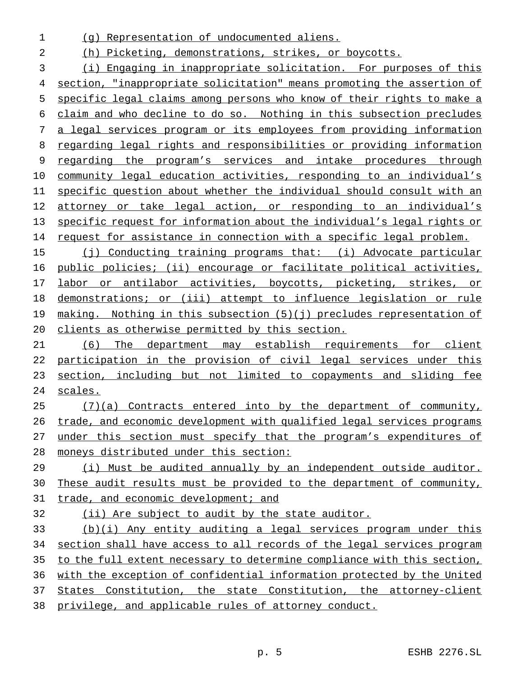- (g) Representation of undocumented aliens.
- (h) Picketing, demonstrations, strikes, or boycotts.

 (i) Engaging in inappropriate solicitation. For purposes of this section, "inappropriate solicitation" means promoting the assertion of specific legal claims among persons who know of their rights to make a claim and who decline to do so. Nothing in this subsection precludes a legal services program or its employees from providing information regarding legal rights and responsibilities or providing information regarding the program's services and intake procedures through 10 community legal education activities, responding to an individual's specific question about whether the individual should consult with an attorney or take legal action, or responding to an individual's specific request for information about the individual's legal rights or 14 request for assistance in connection with a specific legal problem.

 (j) Conducting training programs that: (i) Advocate particular public policies; (ii) encourage or facilitate political activities, 17 labor or antilabor activities, boycotts, picketing, strikes, or demonstrations; or (iii) attempt to influence legislation or rule 19 making. Nothing in this subsection (5)(j) precludes representation of clients as otherwise permitted by this section.

 (6) The department may establish requirements for client participation in the provision of civil legal services under this 23 section, including but not limited to copayments and sliding fee scales.

 (7)(a) Contracts entered into by the department of community, trade, and economic development with qualified legal services programs 27 under this section must specify that the program's expenditures of moneys distributed under this section:

 (i) Must be audited annually by an independent outside auditor. These audit results must be provided to the department of community, 31 trade, and economic development; and

(ii) Are subject to audit by the state auditor.

 (b)(i) Any entity auditing a legal services program under this section shall have access to all records of the legal services program to the full extent necessary to determine compliance with this section, with the exception of confidential information protected by the United 37 States Constitution, the state Constitution, the attorney-client privilege, and applicable rules of attorney conduct.